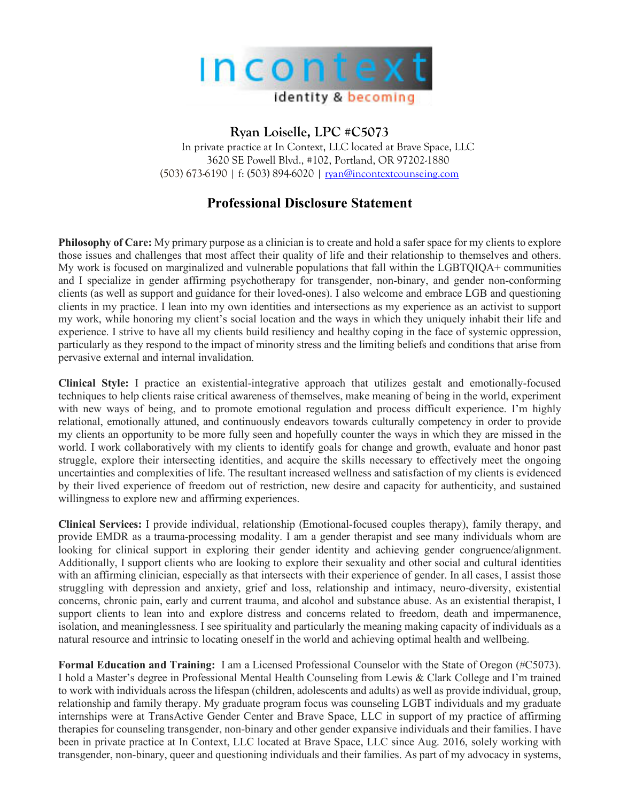

## **Ryan Loiselle, LPC #C5073**

In private practice at In Context, LLC located at Brave Space, LLC 3620 SE Powell Blvd., #102, Portland, OR 97202-1880 (503) 673-6190 | f: (503) 894-6020 | ryan@incontextcounseing.com

## **Professional Disclosure Statement**

**Philosophy of Care:** My primary purpose as a clinician is to create and hold a safer space for my clients to explore those issues and challenges that most affect their quality of life and their relationship to themselves and others. My work is focused on marginalized and vulnerable populations that fall within the LGBTQIQA+ communities and I specialize in gender affirming psychotherapy for transgender, non-binary, and gender non-conforming clients (as well as support and guidance for their loved-ones). I also welcome and embrace LGB and questioning clients in my practice. I lean into my own identities and intersections as my experience as an activist to support my work, while honoring my client's social location and the ways in which they uniquely inhabit their life and experience. I strive to have all my clients build resiliency and healthy coping in the face of systemic oppression, particularly as they respond to the impact of minority stress and the limiting beliefs and conditions that arise from pervasive external and internal invalidation.

**Clinical Style:** I practice an existential-integrative approach that utilizes gestalt and emotionally-focused techniques to help clients raise critical awareness of themselves, make meaning of being in the world, experiment with new ways of being, and to promote emotional regulation and process difficult experience. I'm highly relational, emotionally attuned, and continuously endeavors towards culturally competency in order to provide my clients an opportunity to be more fully seen and hopefully counter the ways in which they are missed in the world. I work collaboratively with my clients to identify goals for change and growth, evaluate and honor past struggle, explore their intersecting identities, and acquire the skills necessary to effectively meet the ongoing uncertainties and complexities of life. The resultant increased wellness and satisfaction of my clients is evidenced by their lived experience of freedom out of restriction, new desire and capacity for authenticity, and sustained willingness to explore new and affirming experiences.

**Clinical Services:** I provide individual, relationship (Emotional-focused couples therapy), family therapy, and provide EMDR as a trauma-processing modality. I am a gender therapist and see many individuals whom are looking for clinical support in exploring their gender identity and achieving gender congruence/alignment. Additionally, I support clients who are looking to explore their sexuality and other social and cultural identities with an affirming clinician, especially as that intersects with their experience of gender. In all cases, I assist those struggling with depression and anxiety, grief and loss, relationship and intimacy, neuro-diversity, existential concerns, chronic pain, early and current trauma, and alcohol and substance abuse. As an existential therapist, I support clients to lean into and explore distress and concerns related to freedom, death and impermanence, isolation, and meaninglessness. I see spirituality and particularly the meaning making capacity of individuals as a natural resource and intrinsic to locating oneself in the world and achieving optimal health and wellbeing.

**Formal Education and Training:** I am a Licensed Professional Counselor with the State of Oregon (#C5073). I hold a Master's degree in Professional Mental Health Counseling from Lewis & Clark College and I'm trained to work with individuals across the lifespan (children, adolescents and adults) as well as provide individual, group, relationship and family therapy. My graduate program focus was counseling LGBT individuals and my graduate internships were at TransActive Gender Center and Brave Space, LLC in support of my practice of affirming therapies for counseling transgender, non-binary and other gender expansive individuals and their families. I have been in private practice at In Context, LLC located at Brave Space, LLC since Aug. 2016, solely working with transgender, non-binary, queer and questioning individuals and their families. As part of my advocacy in systems,